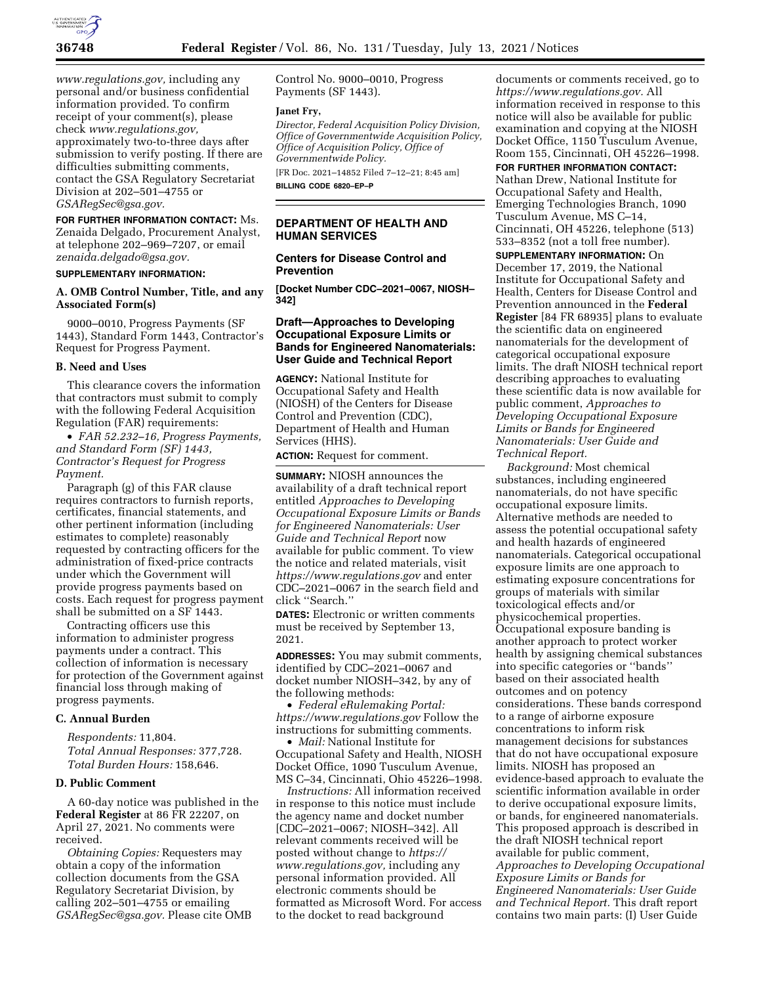

*[www.regulations.gov,](http://www.regulations.gov)* including any personal and/or business confidential information provided. To confirm receipt of your comment(s), please check *[www.regulations.gov,](http://www.regulations.gov)*  approximately two-to-three days after submission to verify posting. If there are difficulties submitting comments, contact the GSA Regulatory Secretariat Division at 202–501–4755 or *[GSARegSec@gsa.gov.](mailto:GSARegSec@gsa.gov)* 

**FOR FURTHER INFORMATION CONTACT:** Ms. Zenaida Delgado, Procurement Analyst, at telephone 202–969–7207, or email *[zenaida.delgado@gsa.gov.](mailto:zenaida.delgado@gsa.gov)* 

## **SUPPLEMENTARY INFORMATION:**

## **A. OMB Control Number, Title, and any Associated Form(s)**

9000–0010, Progress Payments (SF 1443), Standard Form 1443, Contractor's Request for Progress Payment.

#### **B. Need and Uses**

This clearance covers the information that contractors must submit to comply with the following Federal Acquisition Regulation (FAR) requirements:

• *FAR 52.232–16, Progress Payments, and Standard Form (SF) 1443, Contractor's Request for Progress Payment.* 

Paragraph (g) of this FAR clause requires contractors to furnish reports, certificates, financial statements, and other pertinent information (including estimates to complete) reasonably requested by contracting officers for the administration of fixed-price contracts under which the Government will provide progress payments based on costs. Each request for progress payment shall be submitted on a SF 1443.

Contracting officers use this information to administer progress payments under a contract. This collection of information is necessary for protection of the Government against financial loss through making of progress payments.

### **C. Annual Burden**

*Respondents:* 11,804. *Total Annual Responses:* 377,728. *Total Burden Hours:* 158,646.

#### **D. Public Comment**

A 60-day notice was published in the **Federal Register** at 86 FR 22207, on April 27, 2021. No comments were received.

*Obtaining Copies:* Requesters may obtain a copy of the information collection documents from the GSA Regulatory Secretariat Division, by calling 202–501–4755 or emailing *[GSARegSec@gsa.gov.](mailto:GSARegSec@gsa.gov)* Please cite OMB Control No. 9000–0010, Progress Payments (SF 1443).

#### **Janet Fry,**

*Director, Federal Acquisition Policy Division, Office of Governmentwide Acquisition Policy, Office of Acquisition Policy, Office of Governmentwide Policy.* 

[FR Doc. 2021–14852 Filed 7–12–21; 8:45 am] **BILLING CODE 6820–EP–P** 

## **DEPARTMENT OF HEALTH AND HUMAN SERVICES**

## **Centers for Disease Control and Prevention**

**[Docket Number CDC–2021–0067, NIOSH– 342]** 

## **Draft—Approaches to Developing Occupational Exposure Limits or Bands for Engineered Nanomaterials: User Guide and Technical Report**

**AGENCY:** National Institute for Occupational Safety and Health (NIOSH) of the Centers for Disease Control and Prevention (CDC), Department of Health and Human Services (HHS).

**ACTION:** Request for comment.

**SUMMARY:** NIOSH announces the availability of a draft technical report entitled *Approaches to Developing Occupational Exposure Limits or Bands for Engineered Nanomaterials: User Guide and Technical Report* now available for public comment. To view the notice and related materials, visit *<https://www.regulations.gov>* and enter CDC–2021–0067 in the search field and click ''Search.''

**DATES:** Electronic or written comments must be received by September 13, 2021.

**ADDRESSES:** You may submit comments, identified by CDC–2021–0067 and docket number NIOSH–342, by any of the following methods:

• *Federal eRulemaking Portal: <https://www.regulations.gov>* Follow the instructions for submitting comments. • *Mail:* National Institute for

Occupational Safety and Health, NIOSH Docket Office, 1090 Tusculum Avenue, MS C–34, Cincinnati, Ohio 45226–1998.

*Instructions:* All information received in response to this notice must include the agency name and docket number [CDC–2021–0067; NIOSH–342]. All relevant comments received will be posted without change to *[https://](https://www.regulations.gov) [www.regulations.gov,](https://www.regulations.gov)* including any personal information provided. All electronic comments should be formatted as Microsoft Word. For access to the docket to read background

documents or comments received, go to *[https://www.regulations.gov.](https://www.regulations.gov)* All information received in response to this notice will also be available for public examination and copying at the NIOSH Docket Office, 1150 Tusculum Avenue, Room 155, Cincinnati, OH 45226–1998.

**FOR FURTHER INFORMATION CONTACT:**  Nathan Drew, National Institute for Occupational Safety and Health, Emerging Technologies Branch, 1090 Tusculum Avenue, MS C–14, Cincinnati, OH 45226, telephone (513) 533–8352 (not a toll free number).

**SUPPLEMENTARY INFORMATION:** On December 17, 2019, the National Institute for Occupational Safety and Health, Centers for Disease Control and Prevention announced in the **Federal Register** [84 FR 68935] plans to evaluate the scientific data on engineered nanomaterials for the development of categorical occupational exposure limits. The draft NIOSH technical report describing approaches to evaluating these scientific data is now available for public comment, *Approaches to Developing Occupational Exposure Limits or Bands for Engineered Nanomaterials: User Guide and Technical Report.* 

*Background:* Most chemical substances, including engineered nanomaterials, do not have specific occupational exposure limits. Alternative methods are needed to assess the potential occupational safety and health hazards of engineered nanomaterials. Categorical occupational exposure limits are one approach to estimating exposure concentrations for groups of materials with similar toxicological effects and/or physicochemical properties. Occupational exposure banding is another approach to protect worker health by assigning chemical substances into specific categories or ''bands'' based on their associated health outcomes and on potency considerations. These bands correspond to a range of airborne exposure concentrations to inform risk management decisions for substances that do not have occupational exposure limits. NIOSH has proposed an evidence-based approach to evaluate the scientific information available in order to derive occupational exposure limits, or bands, for engineered nanomaterials. This proposed approach is described in the draft NIOSH technical report available for public comment, *Approaches to Developing Occupational Exposure Limits or Bands for Engineered Nanomaterials: User Guide and Technical Report.* This draft report contains two main parts: (I) User Guide